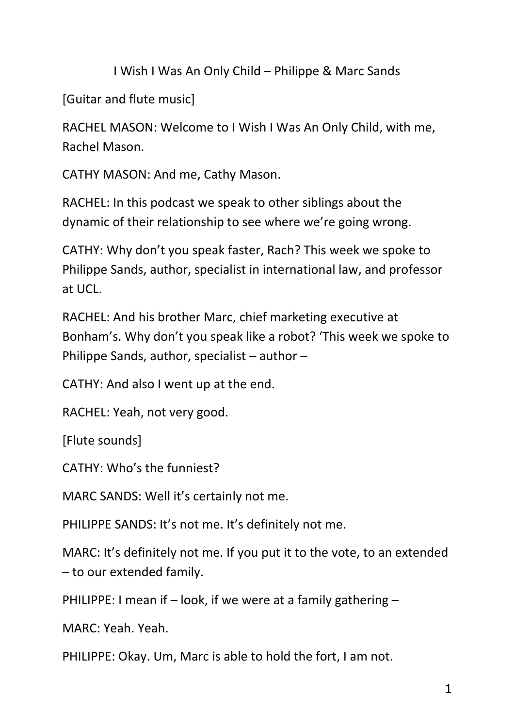I Wish I Was An Only Child – Philippe & Marc Sands

[Guitar and flute music]

RACHEL MASON: Welcome to I Wish I Was An Only Child, with me, Rachel Mason.

CATHY MASON: And me, Cathy Mason.

RACHEL: In this podcast we speak to other siblings about the dynamic of their relationship to see where we're going wrong.

CATHY: Why don't you speak faster, Rach? This week we spoke to Philippe Sands, author, specialist in international law, and professor at UCL.

RACHEL: And his brother Marc, chief marketing executive at Bonham's. Why don't you speak like a robot? 'This week we spoke to Philippe Sands, author, specialist – author –

CATHY: And also I went up at the end.

RACHEL: Yeah, not very good.

[Flute sounds]

CATHY: Who's the funniest?

MARC SANDS: Well it's certainly not me.

PHILIPPE SANDS: It's not me. It's definitely not me.

MARC: It's definitely not me. If you put it to the vote, to an extended – to our extended family.

PHILIPPE: I mean if  $-$  look, if we were at a family gathering  $-$ 

MARC: Yeah. Yeah.

PHILIPPE: Okay. Um, Marc is able to hold the fort, I am not.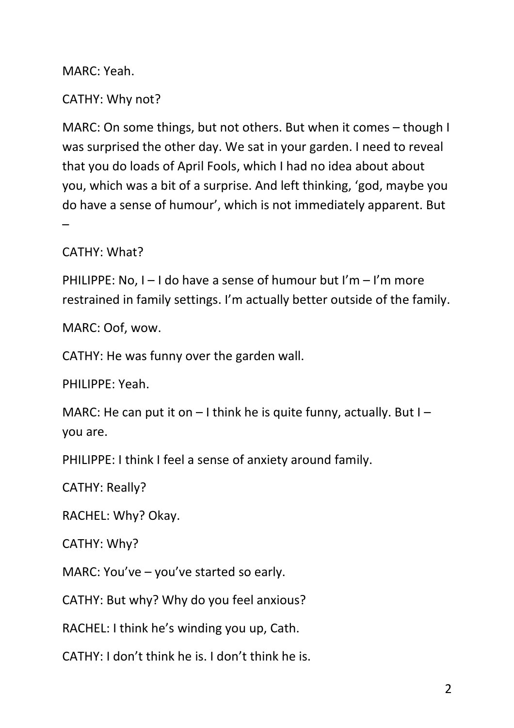MARC: Yeah.

### CATHY: Why not?

MARC: On some things, but not others. But when it comes – though I was surprised the other day. We sat in your garden. I need to reveal that you do loads of April Fools, which I had no idea about about you, which was a bit of a surprise. And left thinking, 'god, maybe you do have a sense of humour', which is not immediately apparent. But –

CATHY: What?

PHILIPPE: No,  $I - I$  do have a sense of humour but  $I'm - I'm$  more restrained in family settings. I'm actually better outside of the family.

MARC: Oof, wow.

CATHY: He was funny over the garden wall.

PHILIPPE: Yeah.

MARC: He can put it on  $-1$  think he is quite funny, actually. But I – you are.

PHILIPPE: I think I feel a sense of anxiety around family.

CATHY: Really?

RACHEL: Why? Okay.

CATHY: Why?

MARC: You've – you've started so early.

CATHY: But why? Why do you feel anxious?

RACHEL: I think he's winding you up, Cath.

CATHY: I don't think he is. I don't think he is.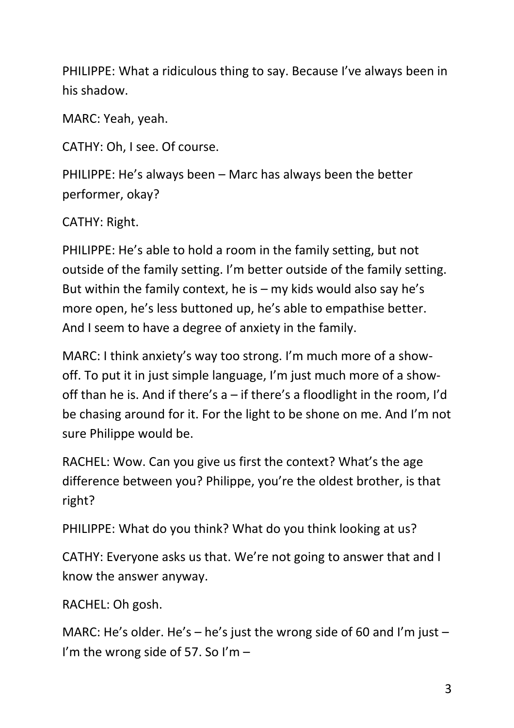PHILIPPE: What a ridiculous thing to say. Because I've always been in his shadow.

MARC: Yeah, yeah.

CATHY: Oh, I see. Of course.

PHILIPPE: He's always been – Marc has always been the better performer, okay?

CATHY: Right.

PHILIPPE: He's able to hold a room in the family setting, but not outside of the family setting. I'm better outside of the family setting. But within the family context, he is  $-$  my kids would also say he's more open, he's less buttoned up, he's able to empathise better. And I seem to have a degree of anxiety in the family.

MARC: I think anxiety's way too strong. I'm much more of a showoff. To put it in just simple language, I'm just much more of a showoff than he is. And if there's a – if there's a floodlight in the room, I'd be chasing around for it. For the light to be shone on me. And I'm not sure Philippe would be.

RACHEL: Wow. Can you give us first the context? What's the age difference between you? Philippe, you're the oldest brother, is that right?

PHILIPPE: What do you think? What do you think looking at us?

CATHY: Everyone asks us that. We're not going to answer that and I know the answer anyway.

RACHEL: Oh gosh.

MARC: He's older. He's – he's just the wrong side of 60 and I'm just – I'm the wrong side of 57. So I'm  $-$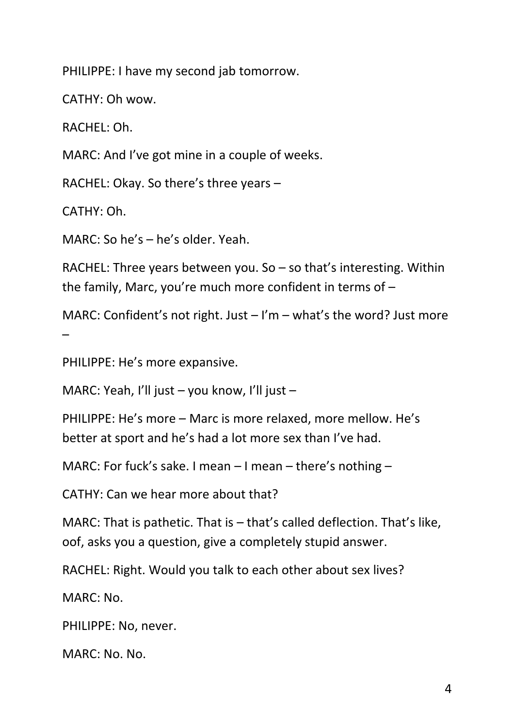PHILIPPE: I have my second jab tomorrow.

CATHY: Oh wow.

RACHEL: Oh.

MARC: And I've got mine in a couple of weeks.

RACHEL: Okay. So there's three years –

CATHY: Oh.

MARC: So he's – he's older. Yeah.

RACHEL: Three years between you. So – so that's interesting. Within the family, Marc, you're much more confident in terms of –

MARC: Confident's not right. Just  $-1'm - what's$  the word? Just more –

PHILIPPE: He's more expansive.

MARC: Yeah, I'll just – you know, I'll just –

PHILIPPE: He's more – Marc is more relaxed, more mellow. He's better at sport and he's had a lot more sex than I've had.

MARC: For fuck's sake. I mean – I mean – there's nothing –

CATHY: Can we hear more about that?

MARC: That is pathetic. That is – that's called deflection. That's like, oof, asks you a question, give a completely stupid answer.

RACHEL: Right. Would you talk to each other about sex lives?

MARC: No.

PHILIPPE: No, never.

MARC: No. No.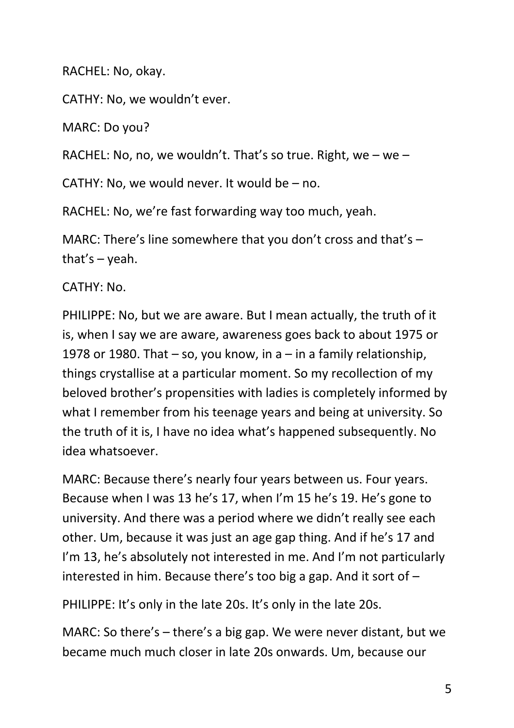RACHEL: No, okay.

CATHY: No, we wouldn't ever.

MARC: Do you?

RACHEL: No, no, we wouldn't. That's so true. Right, we – we –

CATHY: No, we would never. It would be – no.

RACHEL: No, we're fast forwarding way too much, yeah.

MARC: There's line somewhere that you don't cross and that's – that's  $-$  yeah.

CATHY: No.

PHILIPPE: No, but we are aware. But I mean actually, the truth of it is, when I say we are aware, awareness goes back to about 1975 or 1978 or 1980. That  $-$  so, you know, in a  $-$  in a family relationship, things crystallise at a particular moment. So my recollection of my beloved brother's propensities with ladies is completely informed by what I remember from his teenage years and being at university. So the truth of it is, I have no idea what's happened subsequently. No idea whatsoever.

MARC: Because there's nearly four years between us. Four years. Because when I was 13 he's 17, when I'm 15 he's 19. He's gone to university. And there was a period where we didn't really see each other. Um, because it was just an age gap thing. And if he's 17 and I'm 13, he's absolutely not interested in me. And I'm not particularly interested in him. Because there's too big a gap. And it sort of –

PHILIPPE: It's only in the late 20s. It's only in the late 20s.

MARC: So there's – there's a big gap. We were never distant, but we became much much closer in late 20s onwards. Um, because our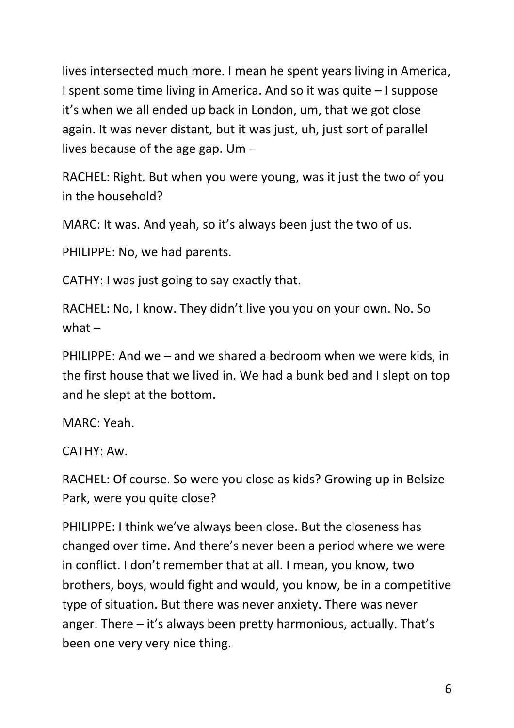lives intersected much more. I mean he spent years living in America, I spent some time living in America. And so it was quite – I suppose it's when we all ended up back in London, um, that we got close again. It was never distant, but it was just, uh, just sort of parallel lives because of the age gap. Um –

RACHEL: Right. But when you were young, was it just the two of you in the household?

MARC: It was. And yeah, so it's always been just the two of us.

PHILIPPE: No, we had parents.

CATHY: I was just going to say exactly that.

RACHEL: No, I know. They didn't live you you on your own. No. So what  $-$ 

PHILIPPE: And we – and we shared a bedroom when we were kids, in the first house that we lived in. We had a bunk bed and I slept on top and he slept at the bottom.

MARC: Yeah.

CATHY: Aw.

RACHEL: Of course. So were you close as kids? Growing up in Belsize Park, were you quite close?

PHILIPPE: I think we've always been close. But the closeness has changed over time. And there's never been a period where we were in conflict. I don't remember that at all. I mean, you know, two brothers, boys, would fight and would, you know, be in a competitive type of situation. But there was never anxiety. There was never anger. There – it's always been pretty harmonious, actually. That's been one very very nice thing.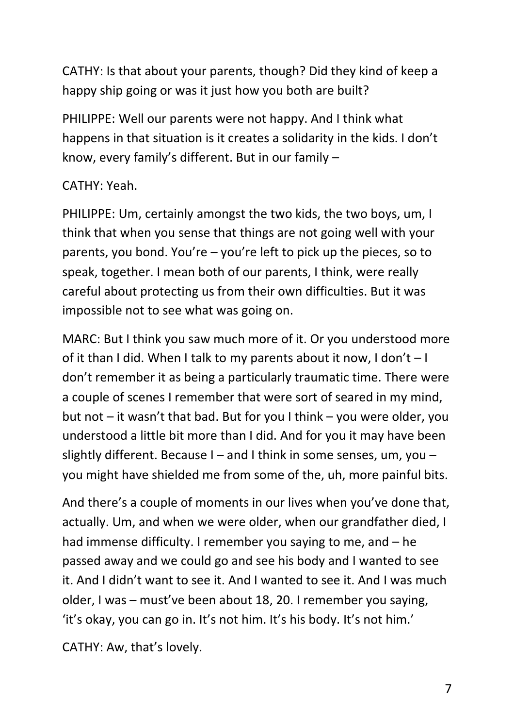CATHY: Is that about your parents, though? Did they kind of keep a happy ship going or was it just how you both are built?

PHILIPPE: Well our parents were not happy. And I think what happens in that situation is it creates a solidarity in the kids. I don't know, every family's different. But in our family –

### CATHY: Yeah.

PHILIPPE: Um, certainly amongst the two kids, the two boys, um, I think that when you sense that things are not going well with your parents, you bond. You're – you're left to pick up the pieces, so to speak, together. I mean both of our parents, I think, were really careful about protecting us from their own difficulties. But it was impossible not to see what was going on.

MARC: But I think you saw much more of it. Or you understood more of it than I did. When I talk to my parents about it now, I don't – I don't remember it as being a particularly traumatic time. There were a couple of scenes I remember that were sort of seared in my mind, but not – it wasn't that bad. But for you I think – you were older, you understood a little bit more than I did. And for you it may have been slightly different. Because I – and I think in some senses, um, you – you might have shielded me from some of the, uh, more painful bits.

And there's a couple of moments in our lives when you've done that, actually. Um, and when we were older, when our grandfather died, I had immense difficulty. I remember you saying to me, and – he passed away and we could go and see his body and I wanted to see it. And I didn't want to see it. And I wanted to see it. And I was much older, I was – must've been about 18, 20. I remember you saying, 'it's okay, you can go in. It's not him. It's his body. It's not him.'

CATHY: Aw, that's lovely.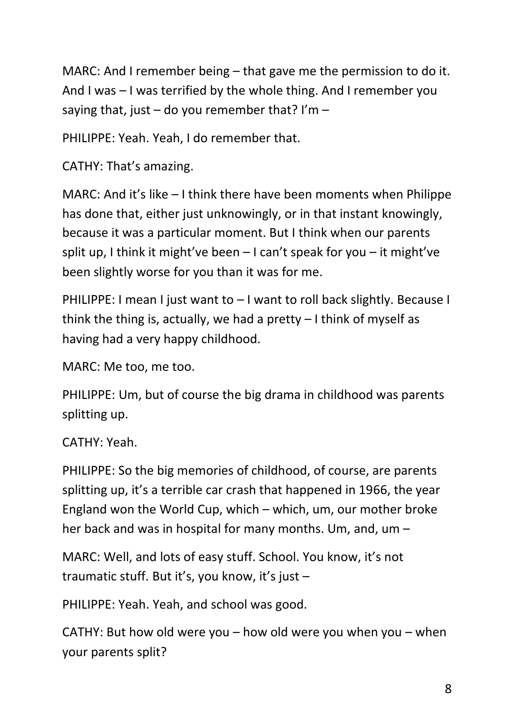MARC: And I remember being – that gave me the permission to do it. And I was – I was terrified by the whole thing. And I remember you saying that, just – do you remember that? I'm –

PHILIPPE: Yeah. Yeah, I do remember that.

CATHY: That's amazing.

MARC: And it's like – I think there have been moments when Philippe has done that, either just unknowingly, or in that instant knowingly, because it was a particular moment. But I think when our parents split up, I think it might've been – I can't speak for you – it might've been slightly worse for you than it was for me.

PHILIPPE: I mean I just want to – I want to roll back slightly. Because I think the thing is, actually, we had a pretty  $-1$  think of myself as having had a very happy childhood.

MARC: Me too, me too.

PHILIPPE: Um, but of course the big drama in childhood was parents splitting up.

CATHY: Yeah.

PHILIPPE: So the big memories of childhood, of course, are parents splitting up, it's a terrible car crash that happened in 1966, the year England won the World Cup, which – which, um, our mother broke her back and was in hospital for many months. Um, and, um –

MARC: Well, and lots of easy stuff. School. You know, it's not traumatic stuff. But it's, you know, it's just –

PHILIPPE: Yeah. Yeah, and school was good.

CATHY: But how old were you – how old were you when you – when your parents split?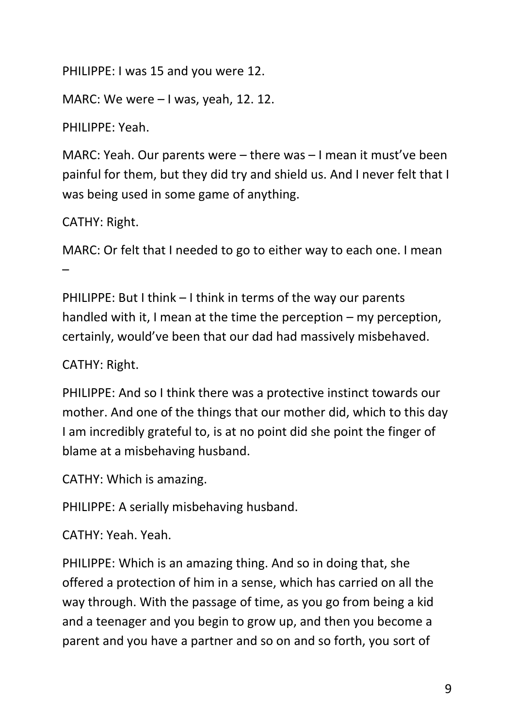PHILIPPE: I was 15 and you were 12.

MARC: We were – I was, yeah, 12. 12.

PHILIPPE: Yeah.

MARC: Yeah. Our parents were – there was – I mean it must've been painful for them, but they did try and shield us. And I never felt that I was being used in some game of anything.

CATHY: Right.

MARC: Or felt that I needed to go to either way to each one. I mean –

PHILIPPE: But I think – I think in terms of the way our parents handled with it, I mean at the time the perception – my perception, certainly, would've been that our dad had massively misbehaved.

CATHY: Right.

PHILIPPE: And so I think there was a protective instinct towards our mother. And one of the things that our mother did, which to this day I am incredibly grateful to, is at no point did she point the finger of blame at a misbehaving husband.

CATHY: Which is amazing.

PHILIPPE: A serially misbehaving husband.

CATHY: Yeah. Yeah.

PHILIPPE: Which is an amazing thing. And so in doing that, she offered a protection of him in a sense, which has carried on all the way through. With the passage of time, as you go from being a kid and a teenager and you begin to grow up, and then you become a parent and you have a partner and so on and so forth, you sort of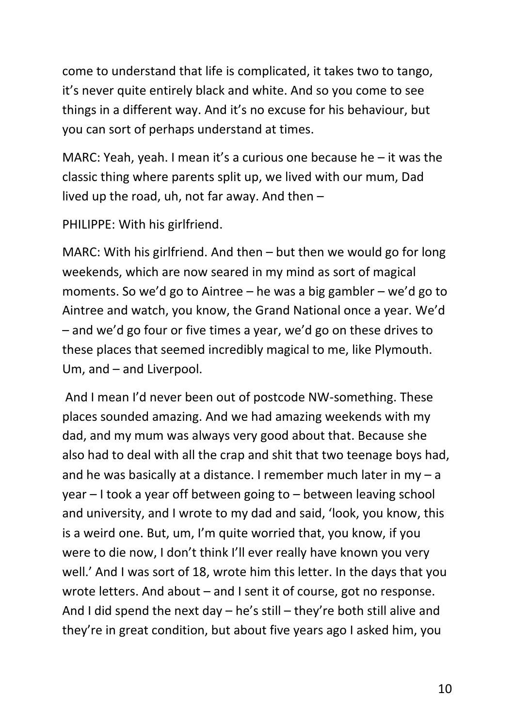come to understand that life is complicated, it takes two to tango, it's never quite entirely black and white. And so you come to see things in a different way. And it's no excuse for his behaviour, but you can sort of perhaps understand at times.

MARC: Yeah, yeah. I mean it's a curious one because he – it was the classic thing where parents split up, we lived with our mum, Dad lived up the road, uh, not far away. And then –

PHILIPPE: With his girlfriend.

MARC: With his girlfriend. And then – but then we would go for long weekends, which are now seared in my mind as sort of magical moments. So we'd go to Aintree – he was a big gambler – we'd go to Aintree and watch, you know, the Grand National once a year. We'd – and we'd go four or five times a year, we'd go on these drives to these places that seemed incredibly magical to me, like Plymouth. Um, and – and Liverpool.

And I mean I'd never been out of postcode NW-something. These places sounded amazing. And we had amazing weekends with my dad, and my mum was always very good about that. Because she also had to deal with all the crap and shit that two teenage boys had, and he was basically at a distance. I remember much later in  $my - a$ year – I took a year off between going to – between leaving school and university, and I wrote to my dad and said, 'look, you know, this is a weird one. But, um, I'm quite worried that, you know, if you were to die now, I don't think I'll ever really have known you very well.' And I was sort of 18, wrote him this letter. In the days that you wrote letters. And about – and I sent it of course, got no response. And I did spend the next day – he's still – they're both still alive and they're in great condition, but about five years ago I asked him, you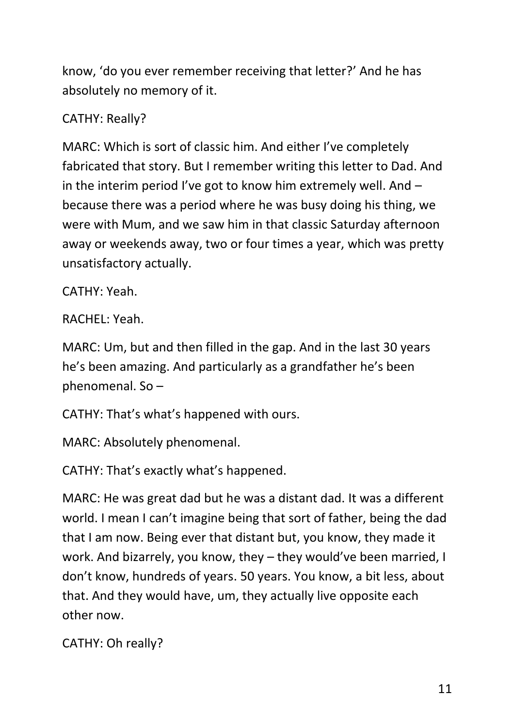know, 'do you ever remember receiving that letter?' And he has absolutely no memory of it.

### CATHY: Really?

MARC: Which is sort of classic him. And either I've completely fabricated that story. But I remember writing this letter to Dad. And in the interim period I've got to know him extremely well. And – because there was a period where he was busy doing his thing, we were with Mum, and we saw him in that classic Saturday afternoon away or weekends away, two or four times a year, which was pretty unsatisfactory actually.

CATHY: Yeah.

RACHEL: Yeah.

MARC: Um, but and then filled in the gap. And in the last 30 years he's been amazing. And particularly as a grandfather he's been phenomenal. So –

CATHY: That's what's happened with ours.

MARC: Absolutely phenomenal.

CATHY: That's exactly what's happened.

MARC: He was great dad but he was a distant dad. It was a different world. I mean I can't imagine being that sort of father, being the dad that I am now. Being ever that distant but, you know, they made it work. And bizarrely, you know, they – they would've been married, I don't know, hundreds of years. 50 years. You know, a bit less, about that. And they would have, um, they actually live opposite each other now.

CATHY: Oh really?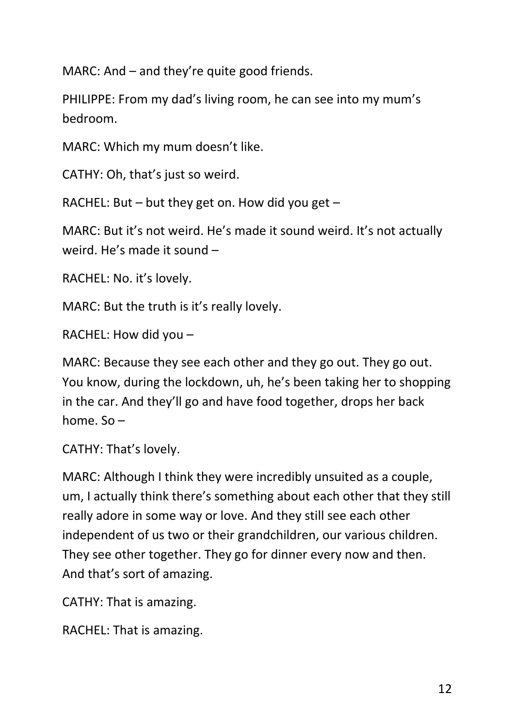MARC: And – and they're quite good friends.

PHILIPPE: From my dad's living room, he can see into my mum's bedroom.

MARC: Which my mum doesn't like.

CATHY: Oh, that's just so weird.

RACHEL: But – but they get on. How did you get –

MARC: But it's not weird. He's made it sound weird. It's not actually weird. He's made it sound –

RACHEL: No. it's lovely.

MARC: But the truth is it's really lovely.

RACHEL: How did you –

MARC: Because they see each other and they go out. They go out. You know, during the lockdown, uh, he's been taking her to shopping in the car. And they'll go and have food together, drops her back home. So –

CATHY: That's lovely.

MARC: Although I think they were incredibly unsuited as a couple, um, I actually think there's something about each other that they still really adore in some way or love. And they still see each other independent of us two or their grandchildren, our various children. They see other together. They go for dinner every now and then. And that's sort of amazing.

CATHY: That is amazing.

RACHEL: That is amazing.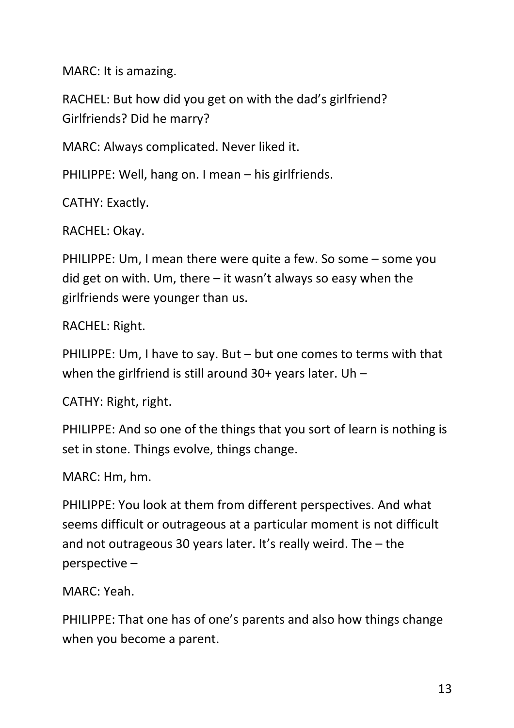MARC: It is amazing.

RACHEL: But how did you get on with the dad's girlfriend? Girlfriends? Did he marry?

MARC: Always complicated. Never liked it.

PHILIPPE: Well, hang on. I mean – his girlfriends.

CATHY: Exactly.

RACHEL: Okay.

PHILIPPE: Um, I mean there were quite a few. So some – some you did get on with. Um, there – it wasn't always so easy when the girlfriends were younger than us.

RACHEL: Right.

PHILIPPE: Um, I have to say. But – but one comes to terms with that when the girlfriend is still around 30+ years later. Uh –

CATHY: Right, right.

PHILIPPE: And so one of the things that you sort of learn is nothing is set in stone. Things evolve, things change.

MARC: Hm, hm.

PHILIPPE: You look at them from different perspectives. And what seems difficult or outrageous at a particular moment is not difficult and not outrageous 30 years later. It's really weird. The – the perspective –

MARC: Yeah.

PHILIPPE: That one has of one's parents and also how things change when you become a parent.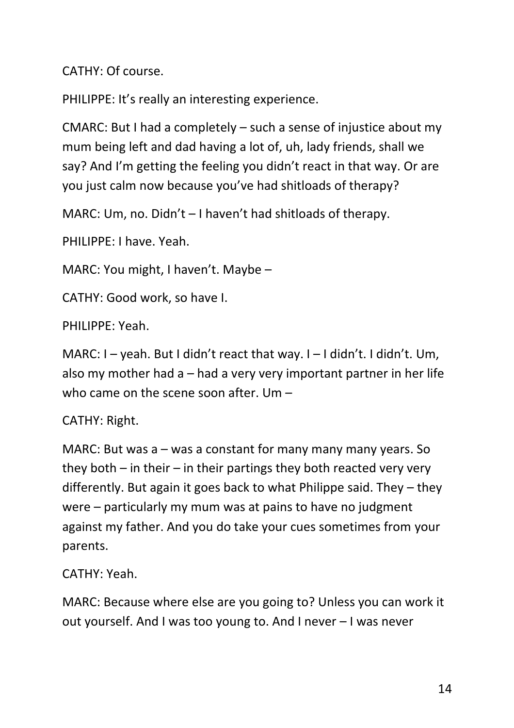CATHY: Of course.

PHILIPPE: It's really an interesting experience.

CMARC: But I had a completely – such a sense of injustice about my mum being left and dad having a lot of, uh, lady friends, shall we say? And I'm getting the feeling you didn't react in that way. Or are you just calm now because you've had shitloads of therapy?

MARC: Um, no. Didn't – I haven't had shitloads of therapy.

PHILIPPE: I have. Yeah.

MARC: You might, I haven't. Maybe –

CATHY: Good work, so have I.

PHILIPPE: Yeah.

MARC: I – yeah. But I didn't react that way. I – I didn't. I didn't. Um, also my mother had a – had a very very important partner in her life who came on the scene soon after. Um –

## CATHY: Right.

MARC: But was a – was a constant for many many many years. So they both  $-$  in their  $-$  in their partings they both reacted very very differently. But again it goes back to what Philippe said. They – they were – particularly my mum was at pains to have no judgment against my father. And you do take your cues sometimes from your parents.

CATHY: Yeah.

MARC: Because where else are you going to? Unless you can work it out yourself. And I was too young to. And I never – I was never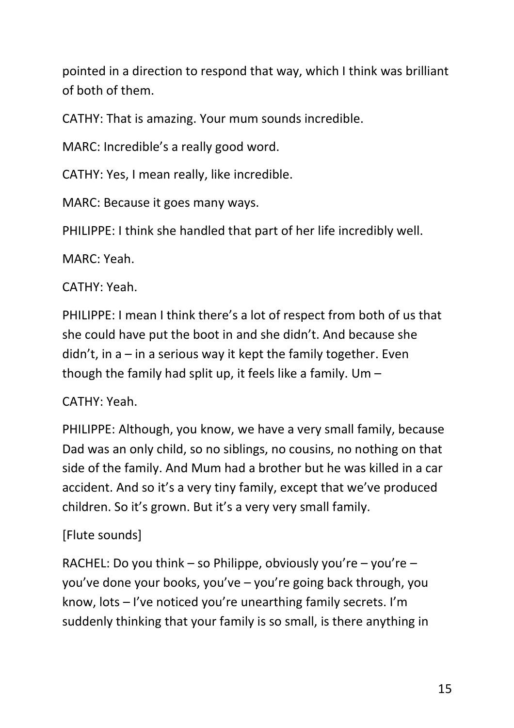pointed in a direction to respond that way, which I think was brilliant of both of them.

CATHY: That is amazing. Your mum sounds incredible.

MARC: Incredible's a really good word.

CATHY: Yes, I mean really, like incredible.

MARC: Because it goes many ways.

PHILIPPE: I think she handled that part of her life incredibly well.

MARC: Yeah.

CATHY: Yeah.

PHILIPPE: I mean I think there's a lot of respect from both of us that she could have put the boot in and she didn't. And because she didn't, in  $a - in a$  serious way it kept the family together. Even though the family had split up, it feels like a family. Um  $-$ 

## CATHY: Yeah.

PHILIPPE: Although, you know, we have a very small family, because Dad was an only child, so no siblings, no cousins, no nothing on that side of the family. And Mum had a brother but he was killed in a car accident. And so it's a very tiny family, except that we've produced children. So it's grown. But it's a very very small family.

# [Flute sounds]

RACHEL: Do you think – so Philippe, obviously you're – you're – you've done your books, you've – you're going back through, you know, lots – I've noticed you're unearthing family secrets. I'm suddenly thinking that your family is so small, is there anything in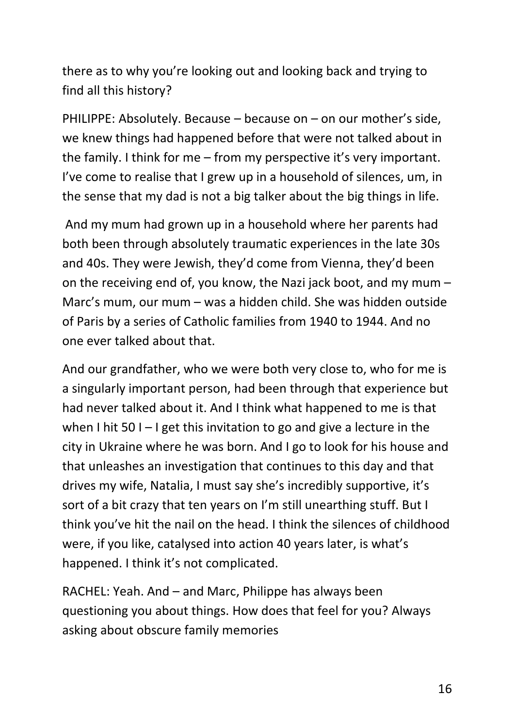there as to why you're looking out and looking back and trying to find all this history?

PHILIPPE: Absolutely. Because – because on – on our mother's side, we knew things had happened before that were not talked about in the family. I think for me – from my perspective it's very important. I've come to realise that I grew up in a household of silences, um, in the sense that my dad is not a big talker about the big things in life.

And my mum had grown up in a household where her parents had both been through absolutely traumatic experiences in the late 30s and 40s. They were Jewish, they'd come from Vienna, they'd been on the receiving end of, you know, the Nazi jack boot, and my mum – Marc's mum, our mum – was a hidden child. She was hidden outside of Paris by a series of Catholic families from 1940 to 1944. And no one ever talked about that.

And our grandfather, who we were both very close to, who for me is a singularly important person, had been through that experience but had never talked about it. And I think what happened to me is that when I hit 50 I – I get this invitation to go and give a lecture in the city in Ukraine where he was born. And I go to look for his house and that unleashes an investigation that continues to this day and that drives my wife, Natalia, I must say she's incredibly supportive, it's sort of a bit crazy that ten years on I'm still unearthing stuff. But I think you've hit the nail on the head. I think the silences of childhood were, if you like, catalysed into action 40 years later, is what's happened. I think it's not complicated.

RACHEL: Yeah. And – and Marc, Philippe has always been questioning you about things. How does that feel for you? Always asking about obscure family memories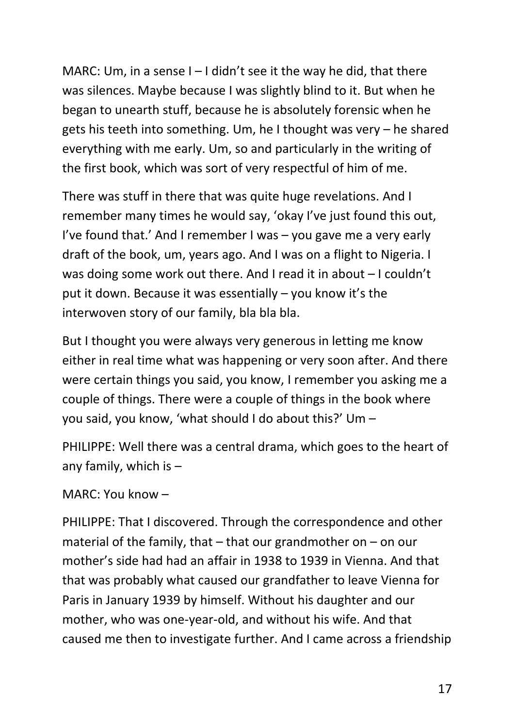MARC: Um, in a sense  $I - I$  didn't see it the way he did, that there was silences. Maybe because I was slightly blind to it. But when he began to unearth stuff, because he is absolutely forensic when he gets his teeth into something. Um, he I thought was very – he shared everything with me early. Um, so and particularly in the writing of the first book, which was sort of very respectful of him of me.

There was stuff in there that was quite huge revelations. And I remember many times he would say, 'okay I've just found this out, I've found that.' And I remember I was – you gave me a very early draft of the book, um, years ago. And I was on a flight to Nigeria. I was doing some work out there. And I read it in about – I couldn't put it down. Because it was essentially – you know it's the interwoven story of our family, bla bla bla.

But I thought you were always very generous in letting me know either in real time what was happening or very soon after. And there were certain things you said, you know, I remember you asking me a couple of things. There were a couple of things in the book where you said, you know, 'what should I do about this?' Um –

PHILIPPE: Well there was a central drama, which goes to the heart of any family, which is  $-$ 

MARC: You know –

PHILIPPE: That I discovered. Through the correspondence and other material of the family, that  $-$  that our grandmother on  $-$  on our mother's side had had an affair in 1938 to 1939 in Vienna. And that that was probably what caused our grandfather to leave Vienna for Paris in January 1939 by himself. Without his daughter and our mother, who was one-year-old, and without his wife. And that caused me then to investigate further. And I came across a friendship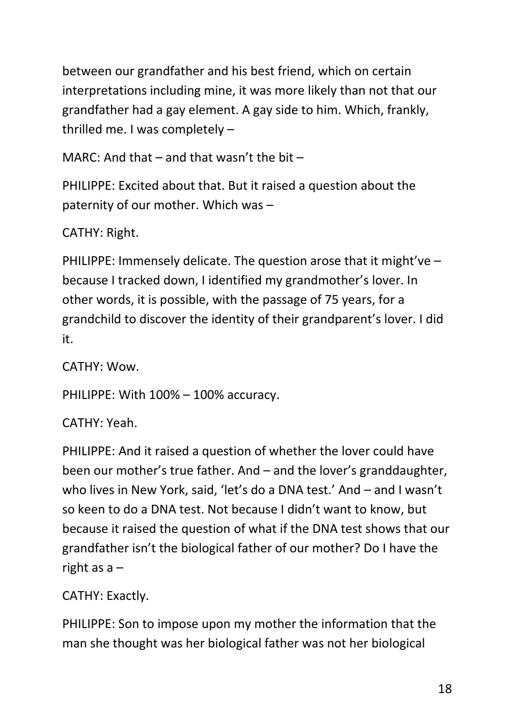between our grandfather and his best friend, which on certain interpretations including mine, it was more likely than not that our grandfather had a gay element. A gay side to him. Which, frankly, thrilled me. I was completely –

MARC: And that – and that wasn't the bit –

PHILIPPE: Excited about that. But it raised a question about the paternity of our mother. Which was –

CATHY: Right.

PHILIPPE: Immensely delicate. The question arose that it might've – because I tracked down, I identified my grandmother's lover. In other words, it is possible, with the passage of 75 years, for a grandchild to discover the identity of their grandparent's lover. I did it.

CATHY: Wow.

PHILIPPE: With 100% – 100% accuracy.

CATHY: Yeah.

PHILIPPE: And it raised a question of whether the lover could have been our mother's true father. And – and the lover's granddaughter, who lives in New York, said, 'let's do a DNA test.' And – and I wasn't so keen to do a DNA test. Not because I didn't want to know, but because it raised the question of what if the DNA test shows that our grandfather isn't the biological father of our mother? Do I have the right as  $a -$ 

CATHY: Exactly.

PHILIPPE: Son to impose upon my mother the information that the man she thought was her biological father was not her biological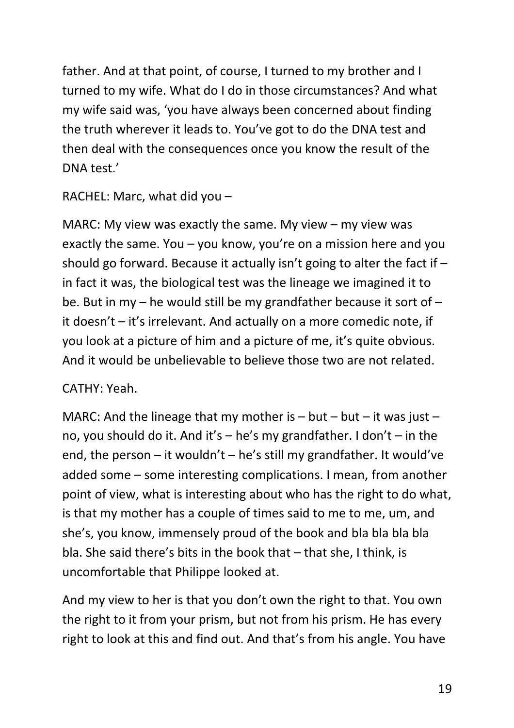father. And at that point, of course, I turned to my brother and I turned to my wife. What do I do in those circumstances? And what my wife said was, 'you have always been concerned about finding the truth wherever it leads to. You've got to do the DNA test and then deal with the consequences once you know the result of the DNA test.'

RACHEL: Marc, what did you –

MARC: My view was exactly the same. My view – my view was exactly the same. You – you know, you're on a mission here and you should go forward. Because it actually isn't going to alter the fact if – in fact it was, the biological test was the lineage we imagined it to be. But in my – he would still be my grandfather because it sort of – it doesn't – it's irrelevant. And actually on a more comedic note, if you look at a picture of him and a picture of me, it's quite obvious. And it would be unbelievable to believe those two are not related.

#### CATHY: Yeah.

MARC: And the lineage that my mother is  $-$  but  $-$  but  $-$  it was just  $$ no, you should do it. And it's – he's my grandfather. I don't – in the end, the person – it wouldn't – he's still my grandfather. It would've added some – some interesting complications. I mean, from another point of view, what is interesting about who has the right to do what, is that my mother has a couple of times said to me to me, um, and she's, you know, immensely proud of the book and bla bla bla bla bla. She said there's bits in the book that – that she, I think, is uncomfortable that Philippe looked at.

And my view to her is that you don't own the right to that. You own the right to it from your prism, but not from his prism. He has every right to look at this and find out. And that's from his angle. You have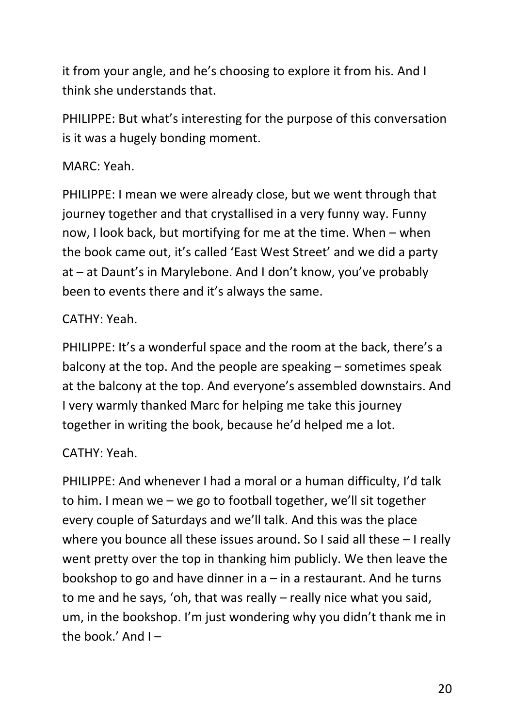it from your angle, and he's choosing to explore it from his. And I think she understands that.

PHILIPPE: But what's interesting for the purpose of this conversation is it was a hugely bonding moment.

### MARC: Yeah.

PHILIPPE: I mean we were already close, but we went through that journey together and that crystallised in a very funny way. Funny now, I look back, but mortifying for me at the time. When – when the book came out, it's called 'East West Street' and we did a party at – at Daunt's in Marylebone. And I don't know, you've probably been to events there and it's always the same.

## CATHY: Yeah.

PHILIPPE: It's a wonderful space and the room at the back, there's a balcony at the top. And the people are speaking – sometimes speak at the balcony at the top. And everyone's assembled downstairs. And I very warmly thanked Marc for helping me take this journey together in writing the book, because he'd helped me a lot.

## CATHY: Yeah.

PHILIPPE: And whenever I had a moral or a human difficulty, I'd talk to him. I mean we – we go to football together, we'll sit together every couple of Saturdays and we'll talk. And this was the place where you bounce all these issues around. So I said all these – I really went pretty over the top in thanking him publicly. We then leave the bookshop to go and have dinner in  $a$  – in a restaurant. And he turns to me and he says, 'oh, that was really – really nice what you said, um, in the bookshop. I'm just wondering why you didn't thank me in the book.' And  $I -$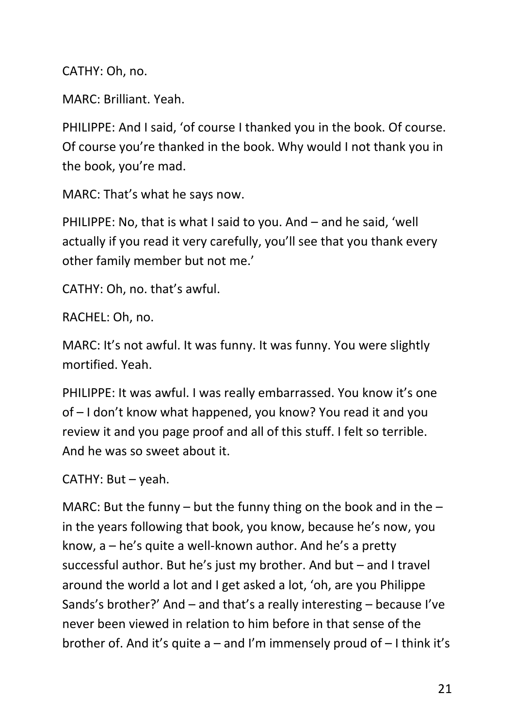CATHY: Oh, no.

MARC: Brilliant. Yeah.

PHILIPPE: And I said, 'of course I thanked you in the book. Of course. Of course you're thanked in the book. Why would I not thank you in the book, you're mad.

MARC: That's what he says now.

PHILIPPE: No, that is what I said to you. And – and he said, 'well actually if you read it very carefully, you'll see that you thank every other family member but not me.'

CATHY: Oh, no. that's awful.

RACHEL: Oh, no.

MARC: It's not awful. It was funny. It was funny. You were slightly mortified. Yeah.

PHILIPPE: It was awful. I was really embarrassed. You know it's one of – I don't know what happened, you know? You read it and you review it and you page proof and all of this stuff. I felt so terrible. And he was so sweet about it.

CATHY: But – yeah.

MARC: But the funny – but the funny thing on the book and in the  $$ in the years following that book, you know, because he's now, you know, a – he's quite a well-known author. And he's a pretty successful author. But he's just my brother. And but – and I travel around the world a lot and I get asked a lot, 'oh, are you Philippe Sands's brother?' And – and that's a really interesting – because I've never been viewed in relation to him before in that sense of the brother of. And it's quite  $a$  – and I'm immensely proud of  $-1$  think it's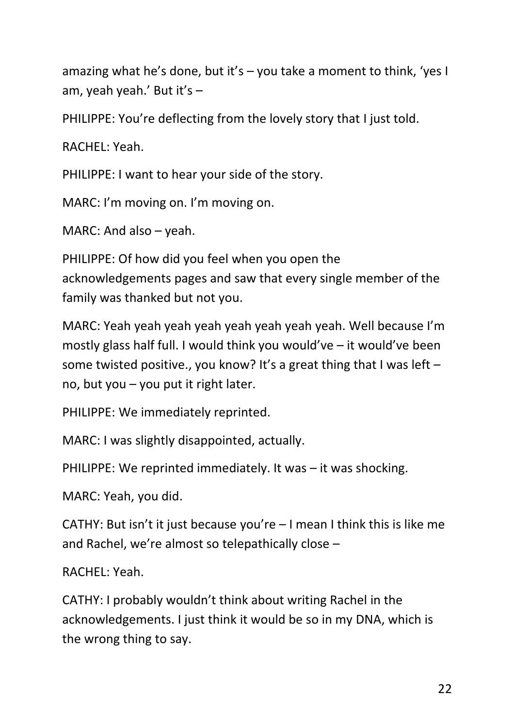amazing what he's done, but it's – you take a moment to think, 'yes I am, yeah yeah.' But it's –

PHILIPPE: You're deflecting from the lovely story that I just told.

RACHEL: Yeah.

PHILIPPE: I want to hear your side of the story.

MARC: I'm moving on. I'm moving on.

MARC: And also – yeah.

PHILIPPE: Of how did you feel when you open the acknowledgements pages and saw that every single member of the family was thanked but not you.

MARC: Yeah yeah yeah yeah yeah yeah yeah yeah. Well because I'm mostly glass half full. I would think you would've – it would've been some twisted positive., you know? It's a great thing that I was left  $$ no, but you – you put it right later.

PHILIPPE: We immediately reprinted.

MARC: I was slightly disappointed, actually.

PHILIPPE: We reprinted immediately. It was – it was shocking.

MARC: Yeah, you did.

CATHY: But isn't it just because you're – I mean I think this is like me and Rachel, we're almost so telepathically close –

RACHEL: Yeah.

CATHY: I probably wouldn't think about writing Rachel in the acknowledgements. I just think it would be so in my DNA, which is the wrong thing to say.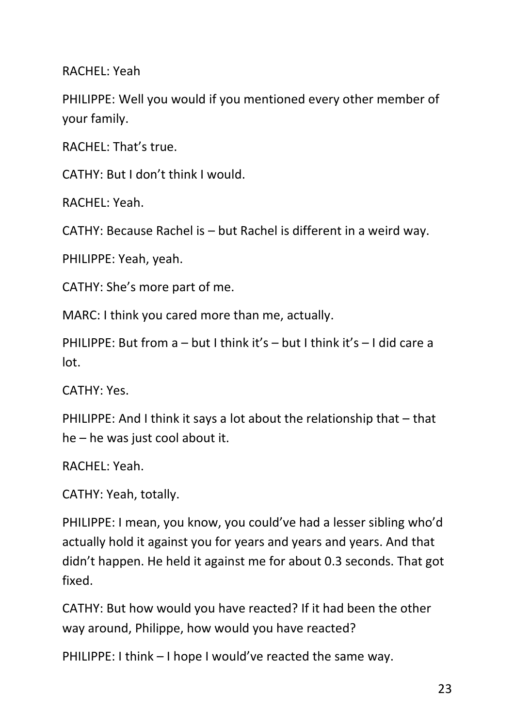RACHEL: Yeah

PHILIPPE: Well you would if you mentioned every other member of your family.

RACHEL: That's true.

CATHY: But I don't think I would.

RACHEL: Yeah.

CATHY: Because Rachel is – but Rachel is different in a weird way.

PHILIPPE: Yeah, yeah.

CATHY: She's more part of me.

MARC: I think you cared more than me, actually.

PHILIPPE: But from a – but I think it's – but I think it's – I did care a lot.

CATHY: Yes.

PHILIPPE: And I think it says a lot about the relationship that – that he – he was just cool about it.

RACHEL: Yeah.

CATHY: Yeah, totally.

PHILIPPE: I mean, you know, you could've had a lesser sibling who'd actually hold it against you for years and years and years. And that didn't happen. He held it against me for about 0.3 seconds. That got fixed.

CATHY: But how would you have reacted? If it had been the other way around, Philippe, how would you have reacted?

PHILIPPE: I think – I hope I would've reacted the same way.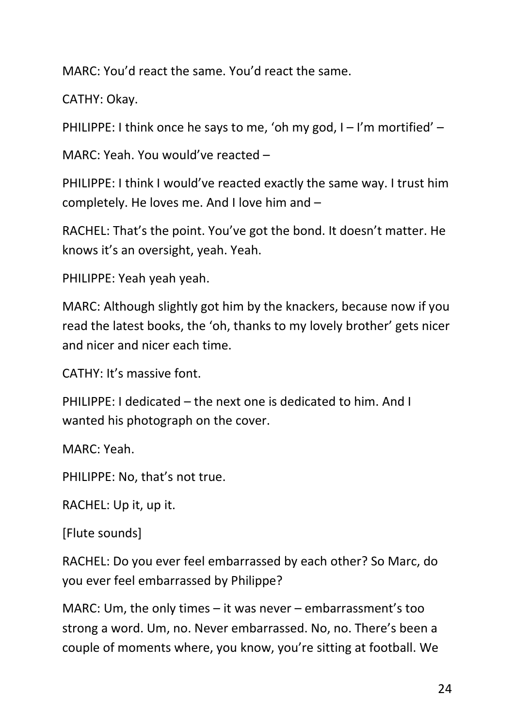MARC: You'd react the same. You'd react the same.

CATHY: Okay.

PHILIPPE: I think once he says to me, 'oh my god,  $I - I'm$  mortified' –

MARC: Yeah. You would've reacted –

PHILIPPE: I think I would've reacted exactly the same way. I trust him completely. He loves me. And I love him and –

RACHEL: That's the point. You've got the bond. It doesn't matter. He knows it's an oversight, yeah. Yeah.

PHILIPPE: Yeah yeah yeah.

MARC: Although slightly got him by the knackers, because now if you read the latest books, the 'oh, thanks to my lovely brother' gets nicer and nicer and nicer each time.

CATHY: It's massive font.

PHILIPPE: I dedicated – the next one is dedicated to him. And I wanted his photograph on the cover.

MARC: Yeah.

PHILIPPE: No, that's not true.

RACHEL: Up it, up it.

[Flute sounds]

RACHEL: Do you ever feel embarrassed by each other? So Marc, do you ever feel embarrassed by Philippe?

MARC: Um, the only times – it was never – embarrassment's too strong a word. Um, no. Never embarrassed. No, no. There's been a couple of moments where, you know, you're sitting at football. We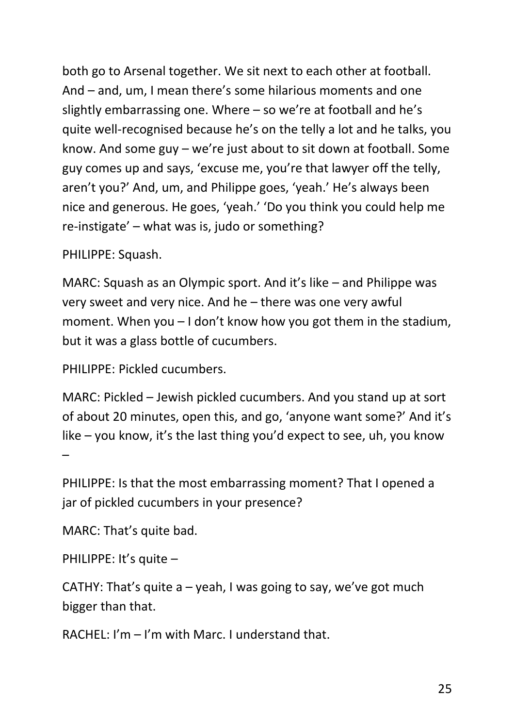both go to Arsenal together. We sit next to each other at football. And – and, um, I mean there's some hilarious moments and one slightly embarrassing one. Where – so we're at football and he's quite well-recognised because he's on the telly a lot and he talks, you know. And some guy – we're just about to sit down at football. Some guy comes up and says, 'excuse me, you're that lawyer off the telly, aren't you?' And, um, and Philippe goes, 'yeah.' He's always been nice and generous. He goes, 'yeah.' 'Do you think you could help me re-instigate' – what was is, judo or something?

PHILIPPE: Squash.

MARC: Squash as an Olympic sport. And it's like – and Philippe was very sweet and very nice. And he – there was one very awful moment. When you – I don't know how you got them in the stadium, but it was a glass bottle of cucumbers.

PHILIPPE: Pickled cucumbers.

MARC: Pickled – Jewish pickled cucumbers. And you stand up at sort of about 20 minutes, open this, and go, 'anyone want some?' And it's like – you know, it's the last thing you'd expect to see, uh, you know –

PHILIPPE: Is that the most embarrassing moment? That I opened a jar of pickled cucumbers in your presence?

MARC: That's quite bad.

PHILIPPE: It's quite –

CATHY: That's quite  $a$  – yeah, I was going to say, we've got much bigger than that.

RACHEL: I'm – I'm with Marc. I understand that.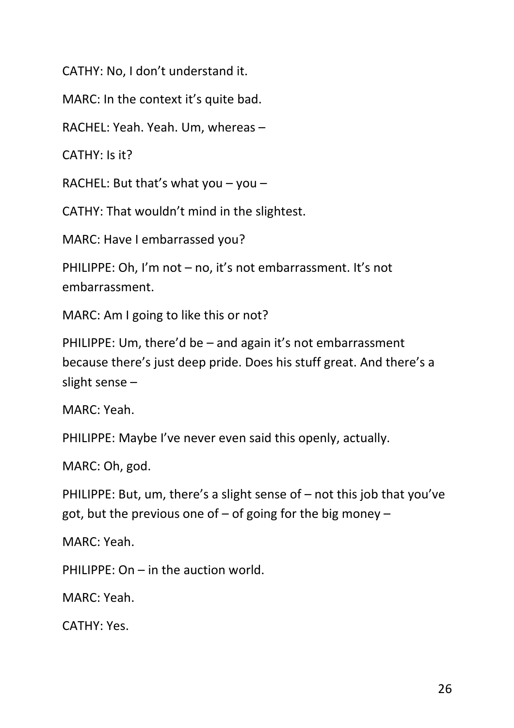CATHY: No, I don't understand it.

MARC: In the context it's quite bad.

RACHEL: Yeah. Yeah. Um, whereas –

CATHY: Is it?

RACHEL: But that's what you  $-$  you  $-$ 

CATHY: That wouldn't mind in the slightest.

MARC: Have I embarrassed you?

PHILIPPE: Oh, I'm not – no, it's not embarrassment. It's not embarrassment.

MARC: Am I going to like this or not?

PHILIPPE: Um, there'd be – and again it's not embarrassment because there's just deep pride. Does his stuff great. And there's a slight sense –

MARC: Yeah.

PHILIPPE: Maybe I've never even said this openly, actually.

MARC: Oh, god.

PHILIPPE: But, um, there's a slight sense of – not this job that you've got, but the previous one of  $-$  of going for the big money  $-$ 

MARC: Yeah.

PHILIPPE: On – in the auction world.

MARC: Yeah.

CATHY: Yes.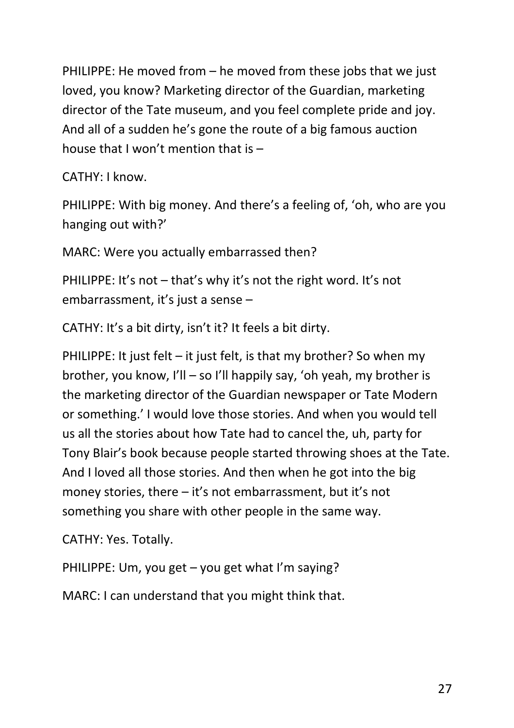PHILIPPE: He moved from – he moved from these jobs that we just loved, you know? Marketing director of the Guardian, marketing director of the Tate museum, and you feel complete pride and joy. And all of a sudden he's gone the route of a big famous auction house that I won't mention that is –

CATHY: I know.

PHILIPPE: With big money. And there's a feeling of, 'oh, who are you hanging out with?'

MARC: Were you actually embarrassed then?

PHILIPPE: It's not – that's why it's not the right word. It's not embarrassment, it's just a sense –

CATHY: It's a bit dirty, isn't it? It feels a bit dirty.

PHILIPPE: It just felt – it just felt, is that my brother? So when my brother, you know, I'll – so I'll happily say, 'oh yeah, my brother is the marketing director of the Guardian newspaper or Tate Modern or something.' I would love those stories. And when you would tell us all the stories about how Tate had to cancel the, uh, party for Tony Blair's book because people started throwing shoes at the Tate. And I loved all those stories. And then when he got into the big money stories, there – it's not embarrassment, but it's not something you share with other people in the same way.

CATHY: Yes. Totally.

PHILIPPE: Um, you get – you get what I'm saying?

MARC: I can understand that you might think that.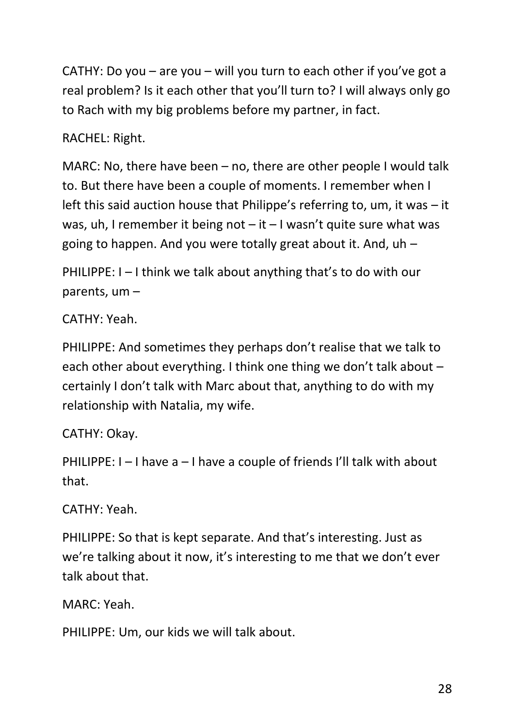CATHY: Do you – are you – will you turn to each other if you've got a real problem? Is it each other that you'll turn to? I will always only go to Rach with my big problems before my partner, in fact.

RACHEL: Right.

MARC: No, there have been – no, there are other people I would talk to. But there have been a couple of moments. I remember when I left this said auction house that Philippe's referring to, um, it was – it was, uh, I remember it being not  $-$  it  $-$  I wasn't quite sure what was going to happen. And you were totally great about it. And, uh –

PHILIPPE: I – I think we talk about anything that's to do with our parents, um –

CATHY: Yeah.

PHILIPPE: And sometimes they perhaps don't realise that we talk to each other about everything. I think one thing we don't talk about – certainly I don't talk with Marc about that, anything to do with my relationship with Natalia, my wife.

CATHY: Okay.

PHILIPPE: I – I have a – I have a couple of friends I'll talk with about that.

CATHY: Yeah.

PHILIPPE: So that is kept separate. And that's interesting. Just as we're talking about it now, it's interesting to me that we don't ever talk about that.

MARC: Yeah.

PHILIPPE: Um, our kids we will talk about.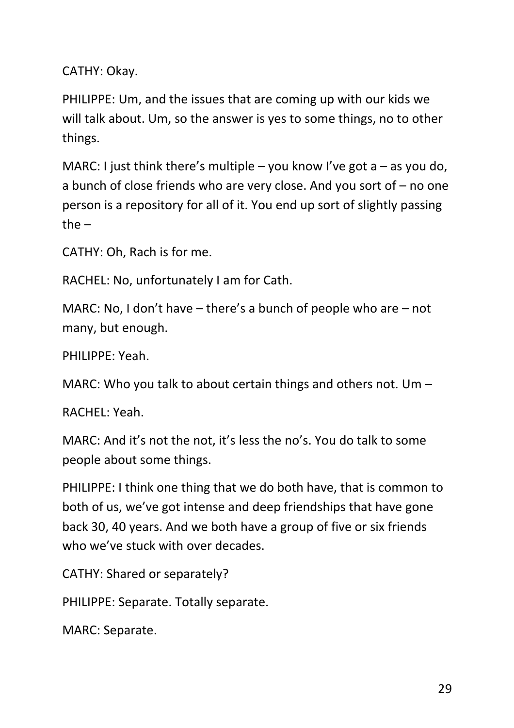CATHY: Okay.

PHILIPPE: Um, and the issues that are coming up with our kids we will talk about. Um, so the answer is yes to some things, no to other things.

MARC: I just think there's multiple – you know I've got a – as you do, a bunch of close friends who are very close. And you sort of – no one person is a repository for all of it. You end up sort of slightly passing the  $-$ 

CATHY: Oh, Rach is for me.

RACHEL: No, unfortunately I am for Cath.

MARC: No, I don't have – there's a bunch of people who are – not many, but enough.

PHILIPPE: Yeah.

MARC: Who you talk to about certain things and others not. Um –

RACHEL: Yeah.

MARC: And it's not the not, it's less the no's. You do talk to some people about some things.

PHILIPPE: I think one thing that we do both have, that is common to both of us, we've got intense and deep friendships that have gone back 30, 40 years. And we both have a group of five or six friends who we've stuck with over decades.

CATHY: Shared or separately?

PHILIPPE: Separate. Totally separate.

MARC: Separate.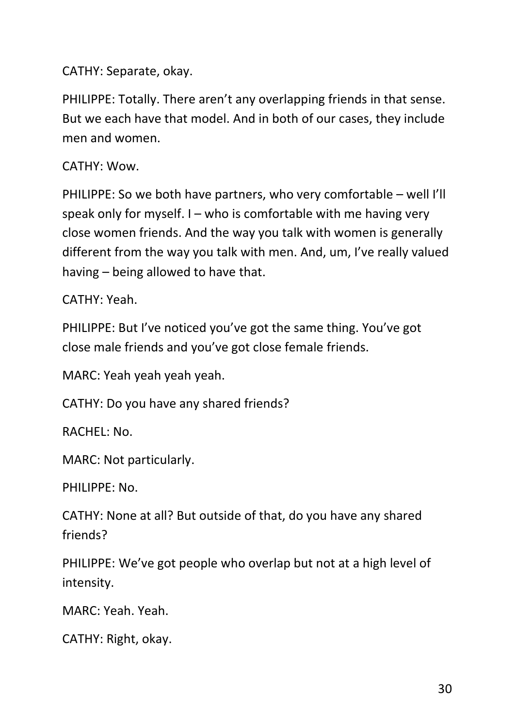CATHY: Separate, okay.

PHILIPPE: Totally. There aren't any overlapping friends in that sense. But we each have that model. And in both of our cases, they include men and women.

CATHY: Wow.

PHILIPPE: So we both have partners, who very comfortable – well I'll speak only for myself. I – who is comfortable with me having very close women friends. And the way you talk with women is generally different from the way you talk with men. And, um, I've really valued having – being allowed to have that.

CATHY: Yeah.

PHILIPPE: But I've noticed you've got the same thing. You've got close male friends and you've got close female friends.

MARC: Yeah yeah yeah yeah.

CATHY: Do you have any shared friends?

RACHEL: No.

MARC: Not particularly.

PHILIPPE: No.

CATHY: None at all? But outside of that, do you have any shared friends?

PHILIPPE: We've got people who overlap but not at a high level of intensity.

MARC: Yeah. Yeah.

CATHY: Right, okay.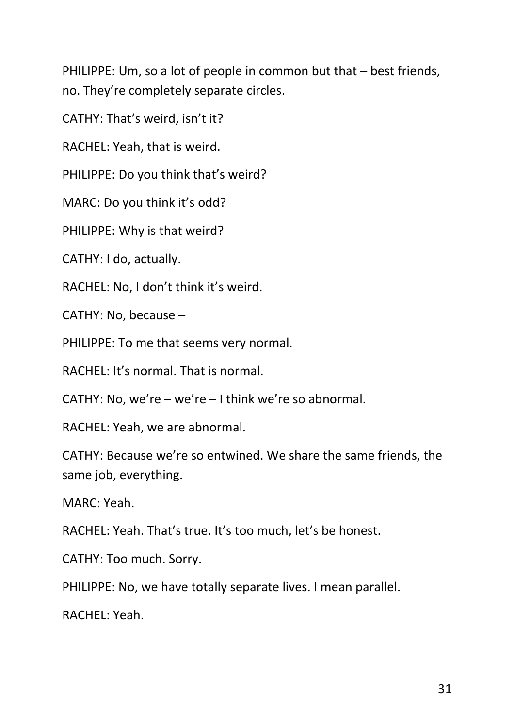PHILIPPE: Um, so a lot of people in common but that – best friends, no. They're completely separate circles.

CATHY: That's weird, isn't it?

RACHEL: Yeah, that is weird.

PHILIPPE: Do you think that's weird?

MARC: Do you think it's odd?

PHILIPPE: Why is that weird?

CATHY: I do, actually.

RACHEL: No, I don't think it's weird.

CATHY: No, because –

PHILIPPE: To me that seems very normal.

RACHEL: It's normal. That is normal.

CATHY: No, we're – we're – I think we're so abnormal.

RACHEL: Yeah, we are abnormal.

CATHY: Because we're so entwined. We share the same friends, the same job, everything.

MARC: Yeah.

RACHEL: Yeah. That's true. It's too much, let's be honest.

CATHY: Too much. Sorry.

PHILIPPE: No, we have totally separate lives. I mean parallel.

RACHEL: Yeah.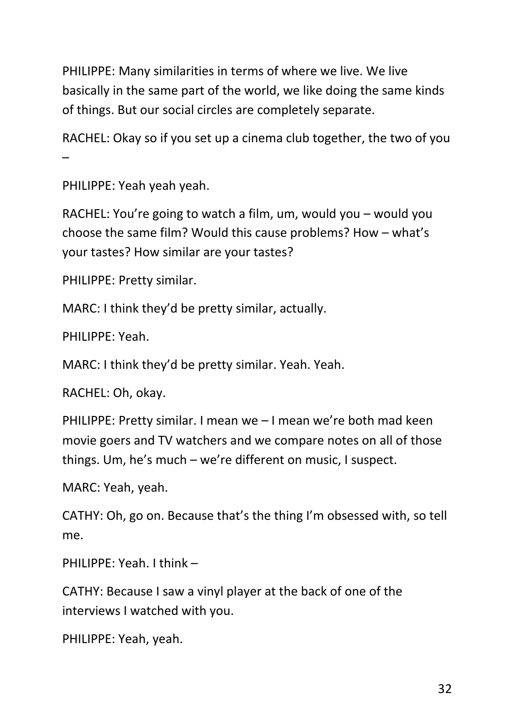PHILIPPE: Many similarities in terms of where we live. We live basically in the same part of the world, we like doing the same kinds of things. But our social circles are completely separate.

RACHEL: Okay so if you set up a cinema club together, the two of you –

PHILIPPE: Yeah yeah yeah.

RACHEL: You're going to watch a film, um, would you – would you choose the same film? Would this cause problems? How – what's your tastes? How similar are your tastes?

PHILIPPE: Pretty similar.

MARC: I think they'd be pretty similar, actually.

PHILIPPE: Yeah.

MARC: I think they'd be pretty similar. Yeah. Yeah.

RACHEL: Oh, okay.

PHILIPPE: Pretty similar. I mean we – I mean we're both mad keen movie goers and TV watchers and we compare notes on all of those things. Um, he's much – we're different on music, I suspect.

MARC: Yeah, yeah.

CATHY: Oh, go on. Because that's the thing I'm obsessed with, so tell me.

PHILIPPE: Yeah. I think –

CATHY: Because I saw a vinyl player at the back of one of the interviews I watched with you.

PHILIPPE: Yeah, yeah.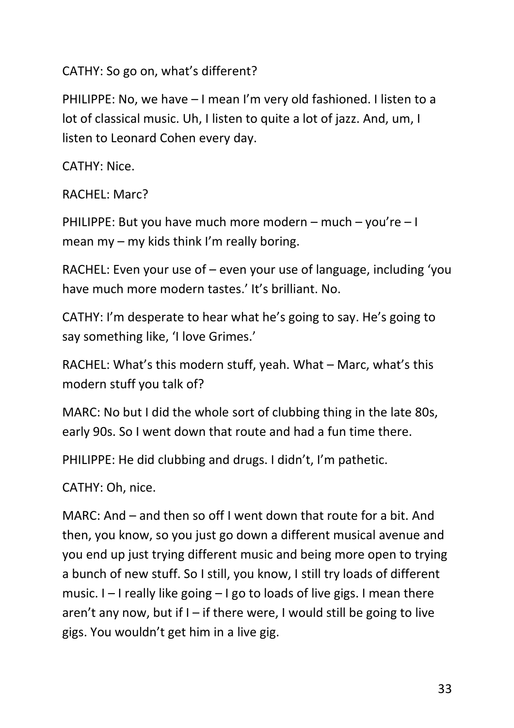CATHY: So go on, what's different?

PHILIPPE: No, we have – I mean I'm very old fashioned. I listen to a lot of classical music. Uh, I listen to quite a lot of jazz. And, um, I listen to Leonard Cohen every day.

CATHY: Nice.

RACHEL: Marc?

PHILIPPE: But you have much more modern – much – you're – I mean my – my kids think I'm really boring.

RACHEL: Even your use of – even your use of language, including 'you have much more modern tastes.' It's brilliant. No.

CATHY: I'm desperate to hear what he's going to say. He's going to say something like, 'I love Grimes.'

RACHEL: What's this modern stuff, yeah. What – Marc, what's this modern stuff you talk of?

MARC: No but I did the whole sort of clubbing thing in the late 80s, early 90s. So I went down that route and had a fun time there.

PHILIPPE: He did clubbing and drugs. I didn't, I'm pathetic.

CATHY: Oh, nice.

MARC: And – and then so off I went down that route for a bit. And then, you know, so you just go down a different musical avenue and you end up just trying different music and being more open to trying a bunch of new stuff. So I still, you know, I still try loads of different music. I – I really like going – I go to loads of live gigs. I mean there aren't any now, but if  $I -$  if there were, I would still be going to live gigs. You wouldn't get him in a live gig.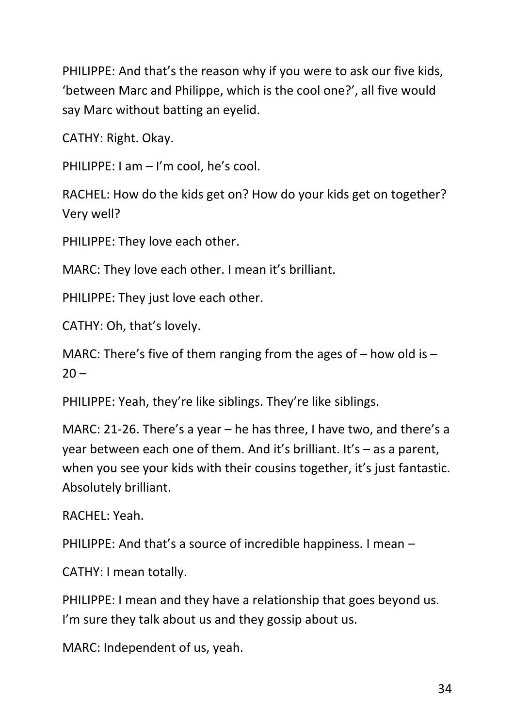PHILIPPE: And that's the reason why if you were to ask our five kids, 'between Marc and Philippe, which is the cool one?', all five would say Marc without batting an eyelid.

CATHY: Right. Okay.

PHILIPPE: I am – I'm cool, he's cool.

RACHEL: How do the kids get on? How do your kids get on together? Very well?

PHILIPPE: They love each other.

MARC: They love each other. I mean it's brilliant.

PHILIPPE: They just love each other.

CATHY: Oh, that's lovely.

MARC: There's five of them ranging from the ages of  $-$  how old is  $20 -$ 

PHILIPPE: Yeah, they're like siblings. They're like siblings.

MARC: 21-26. There's a year – he has three, I have two, and there's a year between each one of them. And it's brilliant. It's – as a parent, when you see your kids with their cousins together, it's just fantastic. Absolutely brilliant.

RACHEL: Yeah.

PHILIPPE: And that's a source of incredible happiness. I mean –

CATHY: I mean totally.

PHILIPPE: I mean and they have a relationship that goes beyond us. I'm sure they talk about us and they gossip about us.

MARC: Independent of us, yeah.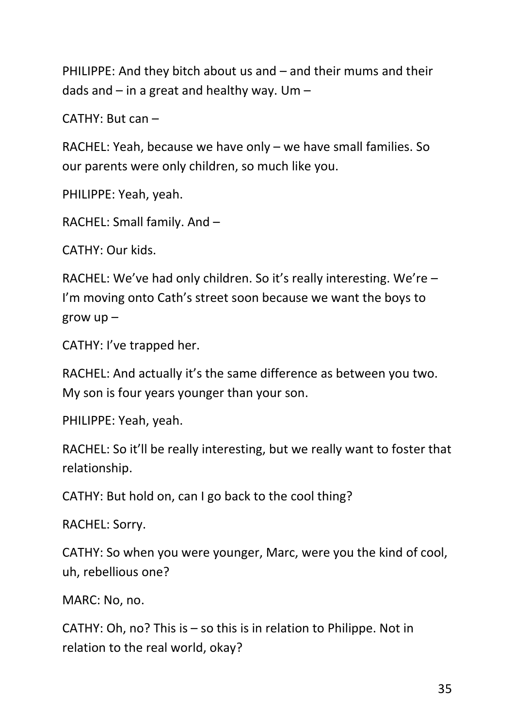PHILIPPE: And they bitch about us and – and their mums and their dads and  $-$  in a great and healthy way. Um  $-$ 

CATHY: But can –

RACHEL: Yeah, because we have only – we have small families. So our parents were only children, so much like you.

PHILIPPE: Yeah, yeah.

RACHEL: Small family. And –

CATHY: Our kids.

RACHEL: We've had only children. So it's really interesting. We're – I'm moving onto Cath's street soon because we want the boys to grow up –

CATHY: I've trapped her.

RACHEL: And actually it's the same difference as between you two. My son is four years younger than your son.

PHILIPPE: Yeah, yeah.

RACHEL: So it'll be really interesting, but we really want to foster that relationship.

CATHY: But hold on, can I go back to the cool thing?

RACHEL: Sorry.

CATHY: So when you were younger, Marc, were you the kind of cool, uh, rebellious one?

MARC: No, no.

CATHY: Oh, no? This is – so this is in relation to Philippe. Not in relation to the real world, okay?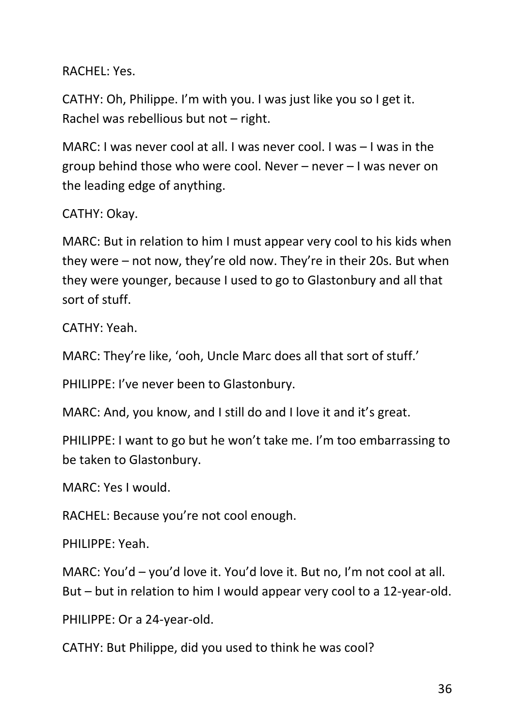RACHEL: Yes.

CATHY: Oh, Philippe. I'm with you. I was just like you so I get it. Rachel was rebellious but not – right.

MARC: I was never cool at all. I was never cool. I was – I was in the group behind those who were cool. Never – never – I was never on the leading edge of anything.

CATHY: Okay.

MARC: But in relation to him I must appear very cool to his kids when they were – not now, they're old now. They're in their 20s. But when they were younger, because I used to go to Glastonbury and all that sort of stuff.

CATHY: Yeah.

MARC: They're like, 'ooh, Uncle Marc does all that sort of stuff.'

PHILIPPE: I've never been to Glastonbury.

MARC: And, you know, and I still do and I love it and it's great.

PHILIPPE: I want to go but he won't take me. I'm too embarrassing to be taken to Glastonbury.

MARC: Yes I would.

RACHEL: Because you're not cool enough.

PHILIPPE: Yeah.

MARC: You'd – you'd love it. You'd love it. But no, I'm not cool at all. But – but in relation to him I would appear very cool to a 12-year-old.

PHILIPPE: Or a 24-year-old.

CATHY: But Philippe, did you used to think he was cool?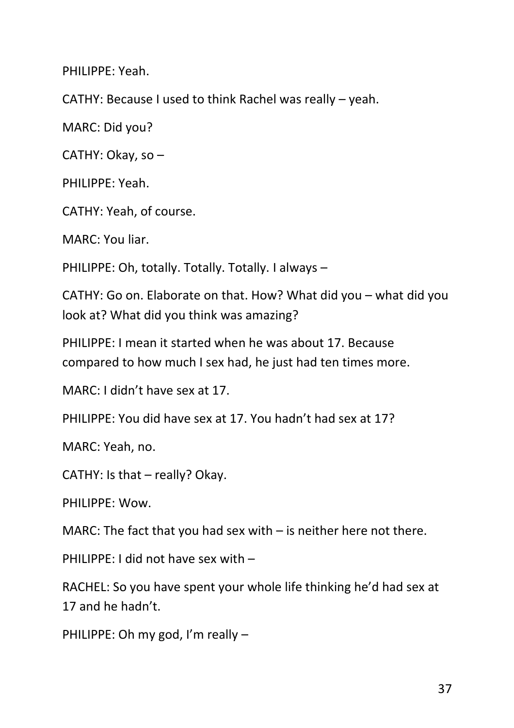PHILIPPE: Yeah.

CATHY: Because I used to think Rachel was really – yeah.

MARC: Did you?

CATHY: Okay, so –

PHILIPPE: Yeah.

CATHY: Yeah, of course.

MARC: You liar.

PHILIPPE: Oh, totally. Totally. Totally. I always –

CATHY: Go on. Elaborate on that. How? What did you – what did you look at? What did you think was amazing?

PHILIPPE: I mean it started when he was about 17. Because compared to how much I sex had, he just had ten times more.

MARC: I didn't have sex at 17.

PHILIPPE: You did have sex at 17. You hadn't had sex at 17?

MARC: Yeah, no.

CATHY: Is that – really? Okay.

PHILIPPE: Wow.

MARC: The fact that you had sex with – is neither here not there.

PHILIPPE: I did not have sex with –

RACHEL: So you have spent your whole life thinking he'd had sex at 17 and he hadn't.

PHILIPPE: Oh my god, I'm really –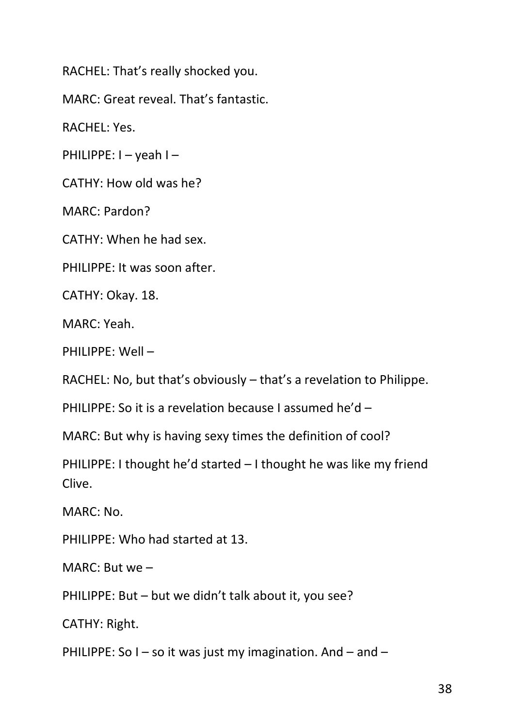RACHEL: That's really shocked you.

MARC: Great reveal. That's fantastic.

RACHEL: Yes.

PHILIPPE: I – yeah I –

CATHY: How old was he?

MARC: Pardon?

CATHY: When he had sex.

PHILIPPE: It was soon after.

CATHY: Okay. 18.

MARC: Yeah.

PHILIPPE: Well –

RACHEL: No, but that's obviously – that's a revelation to Philippe.

PHILIPPE: So it is a revelation because I assumed he'd –

MARC: But why is having sexy times the definition of cool?

PHILIPPE: I thought he'd started – I thought he was like my friend Clive.

MARC: No.

PHILIPPE: Who had started at 13.

MARC: But we –

PHILIPPE: But – but we didn't talk about it, you see?

CATHY: Right.

PHILIPPE: So  $I -$  so it was just my imagination. And  $-$  and  $-$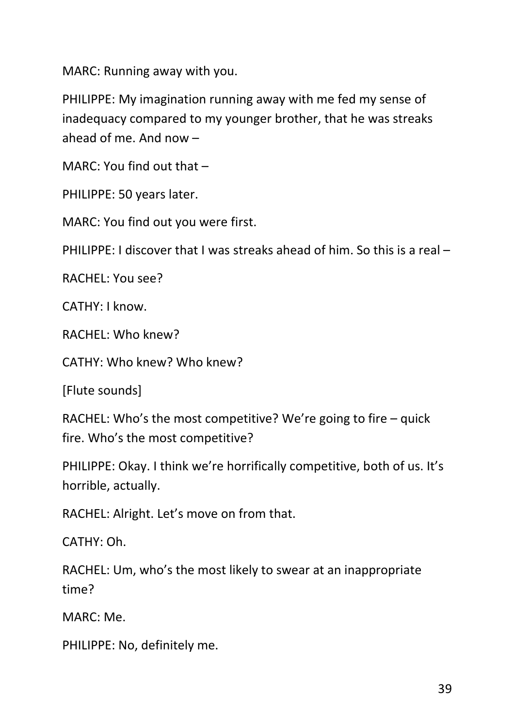MARC: Running away with you.

PHILIPPE: My imagination running away with me fed my sense of inadequacy compared to my younger brother, that he was streaks ahead of me. And now –

MARC: You find out that –

PHILIPPE: 50 years later.

MARC: You find out you were first.

PHILIPPE: I discover that I was streaks ahead of him. So this is a real –

RACHEL: You see?

CATHY: I know.

RACHEL: Who knew?

CATHY: Who knew? Who knew?

[Flute sounds]

RACHEL: Who's the most competitive? We're going to fire – quick fire. Who's the most competitive?

PHILIPPE: Okay. I think we're horrifically competitive, both of us. It's horrible, actually.

RACHEL: Alright. Let's move on from that.

CATHY: Oh.

RACHEL: Um, who's the most likely to swear at an inappropriate time?

MARC: Me.

PHILIPPE: No, definitely me.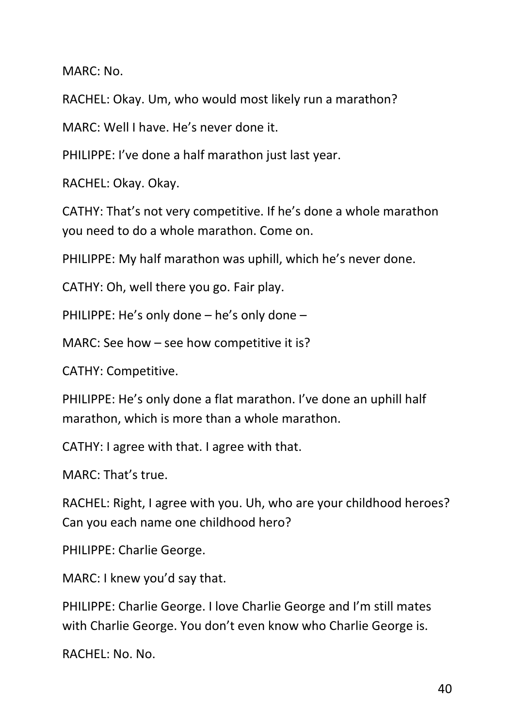MARC: No.

RACHEL: Okay. Um, who would most likely run a marathon?

MARC: Well I have. He's never done it.

PHILIPPE: I've done a half marathon just last year.

RACHEL: Okay. Okay.

CATHY: That's not very competitive. If he's done a whole marathon you need to do a whole marathon. Come on.

PHILIPPE: My half marathon was uphill, which he's never done.

CATHY: Oh, well there you go. Fair play.

PHILIPPE: He's only done – he's only done –

MARC: See how – see how competitive it is?

CATHY: Competitive.

PHILIPPE: He's only done a flat marathon. I've done an uphill half marathon, which is more than a whole marathon.

CATHY: I agree with that. I agree with that.

MARC: That's true.

RACHEL: Right, I agree with you. Uh, who are your childhood heroes? Can you each name one childhood hero?

PHILIPPE: Charlie George.

MARC: I knew you'd say that.

PHILIPPE: Charlie George. I love Charlie George and I'm still mates with Charlie George. You don't even know who Charlie George is.

RACHEL: No. No.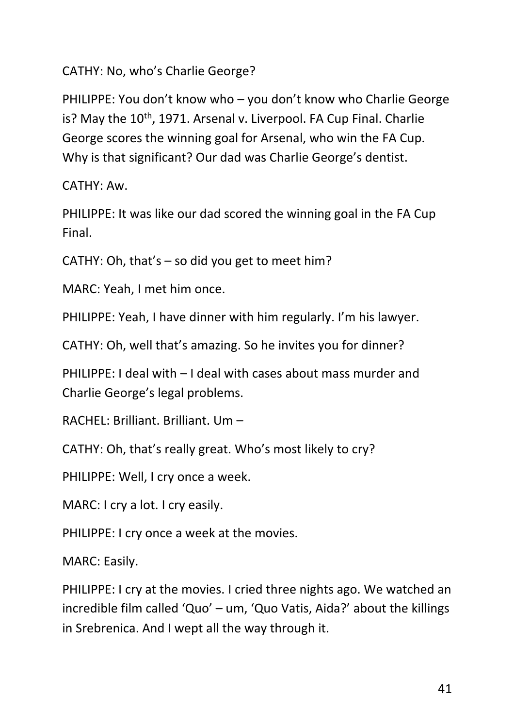CATHY: No, who's Charlie George?

PHILIPPE: You don't know who – you don't know who Charlie George is? May the  $10<sup>th</sup>$ , 1971. Arsenal v. Liverpool. FA Cup Final. Charlie George scores the winning goal for Arsenal, who win the FA Cup. Why is that significant? Our dad was Charlie George's dentist.

CATHY: Aw.

PHILIPPE: It was like our dad scored the winning goal in the FA Cup Final.

CATHY: Oh, that's – so did you get to meet him?

MARC: Yeah, I met him once.

PHILIPPE: Yeah, I have dinner with him regularly. I'm his lawyer.

CATHY: Oh, well that's amazing. So he invites you for dinner?

PHILIPPE: I deal with – I deal with cases about mass murder and Charlie George's legal problems.

RACHEL: Brilliant. Brilliant. Um –

CATHY: Oh, that's really great. Who's most likely to cry?

PHILIPPE: Well, I cry once a week.

MARC: I cry a lot. I cry easily.

PHILIPPE: I cry once a week at the movies.

MARC: Easily.

PHILIPPE: I cry at the movies. I cried three nights ago. We watched an incredible film called 'Quo' – um, 'Quo Vatis, Aida?' about the killings in Srebrenica. And I wept all the way through it.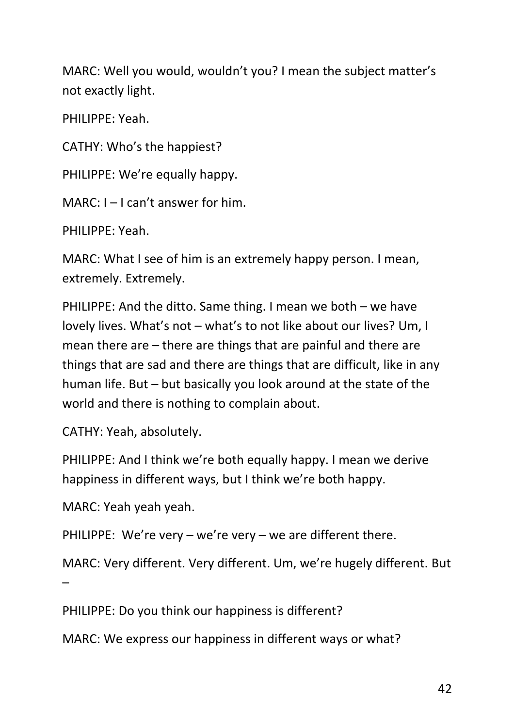MARC: Well you would, wouldn't you? I mean the subject matter's not exactly light.

PHILIPPE: Yeah.

CATHY: Who's the happiest?

PHILIPPE: We're equally happy.

MARC: I – I can't answer for him.

PHILIPPE: Yeah.

MARC: What I see of him is an extremely happy person. I mean, extremely. Extremely.

PHILIPPE: And the ditto. Same thing. I mean we both – we have lovely lives. What's not – what's to not like about our lives? Um, I mean there are – there are things that are painful and there are things that are sad and there are things that are difficult, like in any human life. But – but basically you look around at the state of the world and there is nothing to complain about.

CATHY: Yeah, absolutely.

PHILIPPE: And I think we're both equally happy. I mean we derive happiness in different ways, but I think we're both happy.

MARC: Yeah yeah yeah.

PHILIPPE: We're very – we're very – we are different there.

MARC: Very different. Very different. Um, we're hugely different. But

–

PHILIPPE: Do you think our happiness is different?

MARC: We express our happiness in different ways or what?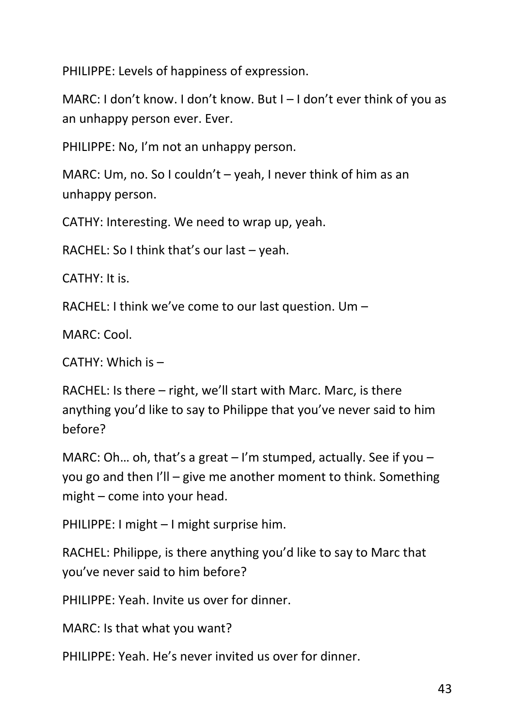PHILIPPE: Levels of happiness of expression.

MARC: I don't know. I don't know. But I – I don't ever think of you as an unhappy person ever. Ever.

PHILIPPE: No, I'm not an unhappy person.

MARC: Um, no. So I couldn't – yeah, I never think of him as an unhappy person.

CATHY: Interesting. We need to wrap up, yeah.

RACHEL: So I think that's our last – yeah.

CATHY: It is.

RACHEL: I think we've come to our last question. Um –

MARC: Cool.

CATHY: Which is –

RACHEL: Is there – right, we'll start with Marc. Marc, is there anything you'd like to say to Philippe that you've never said to him before?

MARC: Oh... oh, that's a great  $-1$ 'm stumped, actually. See if you  $$ you go and then I'll – give me another moment to think. Something might – come into your head.

PHILIPPE: I might – I might surprise him.

RACHEL: Philippe, is there anything you'd like to say to Marc that you've never said to him before?

PHILIPPE: Yeah. Invite us over for dinner.

MARC: Is that what you want?

PHILIPPE: Yeah. He's never invited us over for dinner.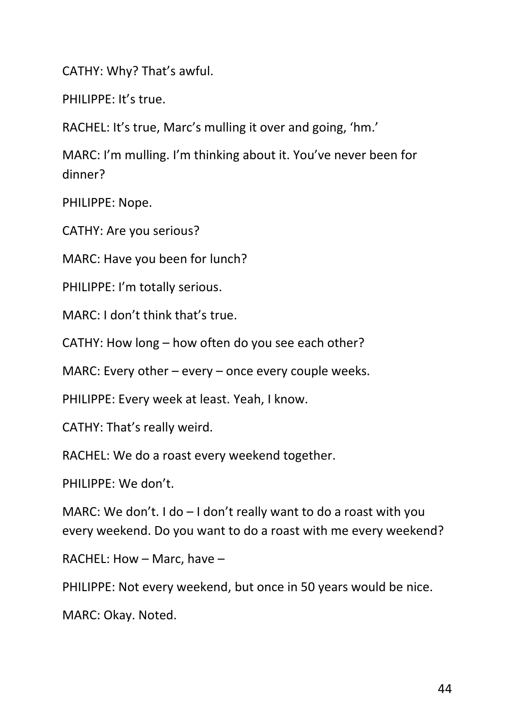CATHY: Why? That's awful.

PHILIPPE: It's true.

RACHEL: It's true, Marc's mulling it over and going, 'hm.'

MARC: I'm mulling. I'm thinking about it. You've never been for dinner?

PHILIPPE: Nope.

CATHY: Are you serious?

MARC: Have you been for lunch?

PHILIPPE: I'm totally serious.

MARC: I don't think that's true.

CATHY: How long – how often do you see each other?

MARC: Every other – every – once every couple weeks.

PHILIPPE: Every week at least. Yeah, I know.

CATHY: That's really weird.

RACHEL: We do a roast every weekend together.

PHILIPPE: We don't.

MARC: We don't. I do - I don't really want to do a roast with you every weekend. Do you want to do a roast with me every weekend?

RACHEL: How – Marc, have –

PHILIPPE: Not every weekend, but once in 50 years would be nice.

MARC: Okay. Noted.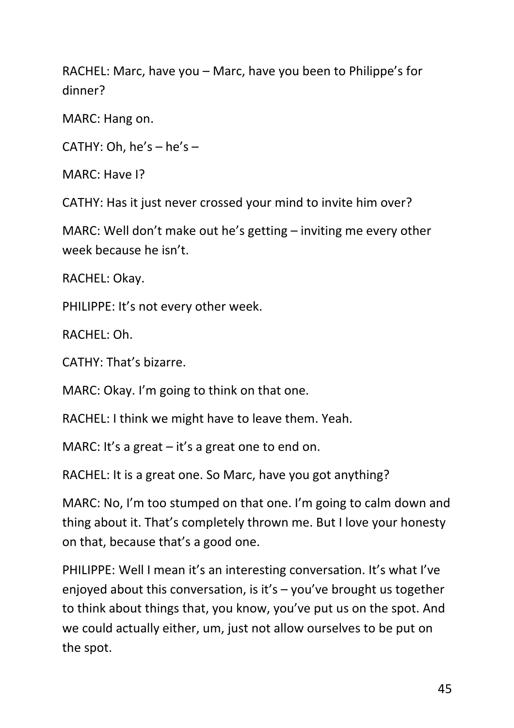RACHEL: Marc, have you – Marc, have you been to Philippe's for dinner?

MARC: Hang on.

CATHY: Oh,  $he's - he's -$ 

MARC: Have I?

CATHY: Has it just never crossed your mind to invite him over?

MARC: Well don't make out he's getting – inviting me every other week because he isn't.

RACHEL: Okay.

PHILIPPE: It's not every other week.

RACHEL: Oh.

CATHY: That's bizarre.

MARC: Okay. I'm going to think on that one.

RACHEL: I think we might have to leave them. Yeah.

MARC: It's a great – it's a great one to end on.

RACHEL: It is a great one. So Marc, have you got anything?

MARC: No, I'm too stumped on that one. I'm going to calm down and thing about it. That's completely thrown me. But I love your honesty on that, because that's a good one.

PHILIPPE: Well I mean it's an interesting conversation. It's what I've enjoyed about this conversation, is it's – you've brought us together to think about things that, you know, you've put us on the spot. And we could actually either, um, just not allow ourselves to be put on the spot.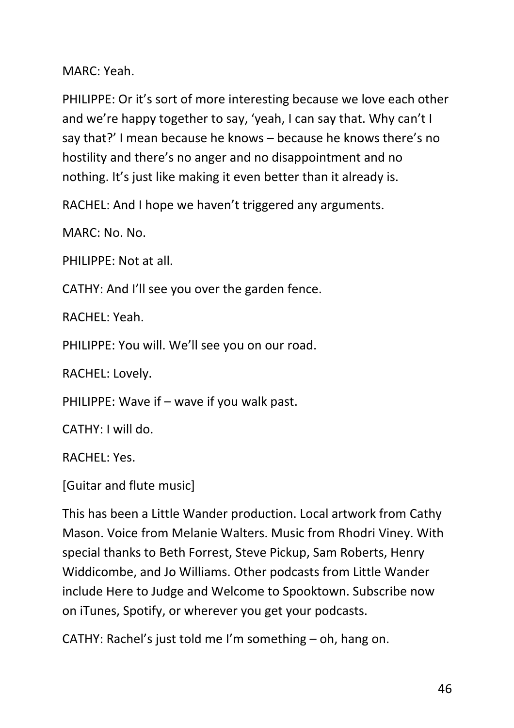MARC: Yeah.

PHILIPPE: Or it's sort of more interesting because we love each other and we're happy together to say, 'yeah, I can say that. Why can't I say that?' I mean because he knows – because he knows there's no hostility and there's no anger and no disappointment and no nothing. It's just like making it even better than it already is.

RACHEL: And I hope we haven't triggered any arguments.

MARC: No. No.

PHILIPPE: Not at all.

CATHY: And I'll see you over the garden fence.

RACHEL: Yeah.

PHILIPPE: You will. We'll see you on our road.

RACHEL: Lovely.

PHILIPPE: Wave if – wave if you walk past.

CATHY: I will do.

RACHEL: Yes.

[Guitar and flute music]

This has been a Little Wander production. Local artwork from Cathy Mason. Voice from Melanie Walters. Music from Rhodri Viney. With special thanks to Beth Forrest, Steve Pickup, Sam Roberts, Henry Widdicombe, and Jo Williams. Other podcasts from Little Wander include Here to Judge and Welcome to Spooktown. Subscribe now on iTunes, Spotify, or wherever you get your podcasts.

CATHY: Rachel's just told me I'm something – oh, hang on.